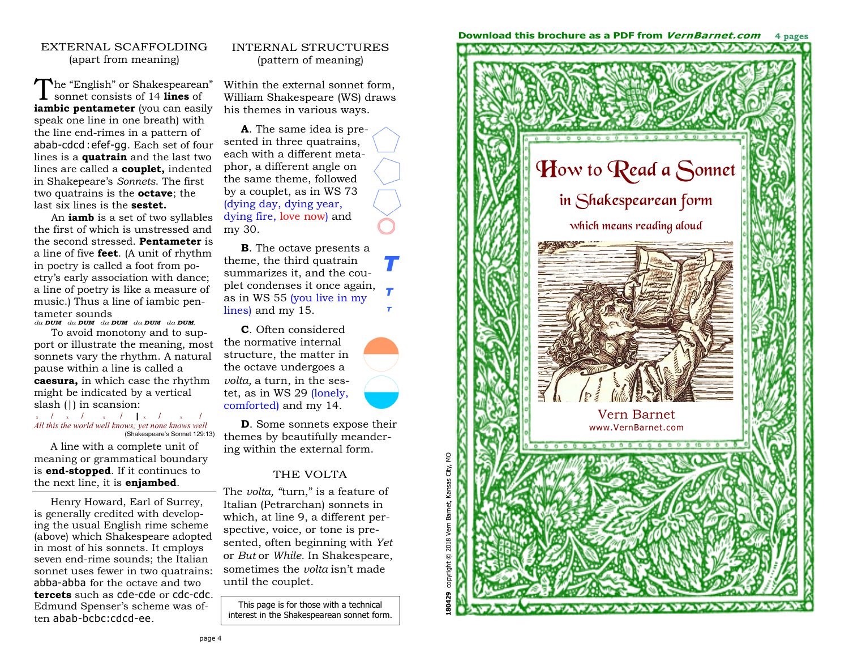#### EXTERNAL SCAFFOLDING (apart from meaning)

**The "English" or Shakespearean"** sonnet consists of 14 lines of **iambic pentameter** (you can easily speak one line in one breath) with the line end-rimes in a pattern of abab-cdcd :efef-gg. Each set of four lines is a **quatrain** and the last two lines are called a **couplet,** indented in Shakepeare's *Sonnets*. The first two quatrains is the **octave**; the last six lines is the **sestet.** 

An **iamb** is a set of two syllables the first of which is unstressed and the second stressed. **Pentameter** is a line of five **feet**. (A unit of rhythm in poetry is called a foot from poetry's early association with dance; a line of poetry is like a measure of music.) Thus a line of iambic pentameter sounds

*da DUM da DUM da DUM da DUM da DUM.* 

To avoid monotony and to support or illustrate the meaning, most sonnets vary the rhythm. A natural pause within a line is called a **caesura,** in which case the rhythm might be indicated by a vertical slash (|) in scansion:

x **/** <sup>x</sup> **/** <sup>x</sup> **/ |** <sup>x</sup> **/** <sup>x</sup> **/** *All this the world well knows; yet none knows well* (Shakespeare's Sonnet 129:13)

 A line with a complete unit of meaning or grammatical boundary is **end-stopped**. If it continues to the next line, it is **enjambed**.

 Henry Howard, Earl of Surrey, is generally credited with developing the usual English rime scheme (above) which Shakespeare adopted in most of his sonnets. It employs seven end-rime sounds; the Italian sonnet uses fewer in two quatrains: abba-abba for the octave and two **tercets** such as cde-cde or cdc-cdc. Edmund Spenser's scheme was often abab-bcbc:cdcd-ee.

### INTERNAL STRUCTURES (pattern of meaning)

Within the external sonnet form, William Shakespeare (WS) draws his themes in various ways.

**A**. The same idea is presented in three quatrains, each with a different metaphor, a different angle on the same theme, followed by a couplet, as in WS 73 (dying day, dying year, dying fire, love now) and my 30.

**B**. The octave presents a theme, the third quatrain summarizes it, and the couplet condenses it once again, as in WS 55 (you live in my lines) and my 15.

*T* 

*T T* 

**C**. Often considered the normative internal structure, the matter in the octave undergoes a *volta,* a turn, in the sestet, as in WS 29 (lonely, comforted) and my 14.

**D**. Some sonnets expose their themes by beautifully meandering within the external form.

#### THE VOLTA

The *volta, "*turn," is a feature of Italian (Petrarchan) sonnets in which, at line 9, a different perspective, voice, or tone is presented, often beginning with *Yet* or *But* or *While.* In Shakespeare, sometimes the *volta* isn't made until the couplet.

This page is for those with a technical interest in the Shakespearean sonnet form.